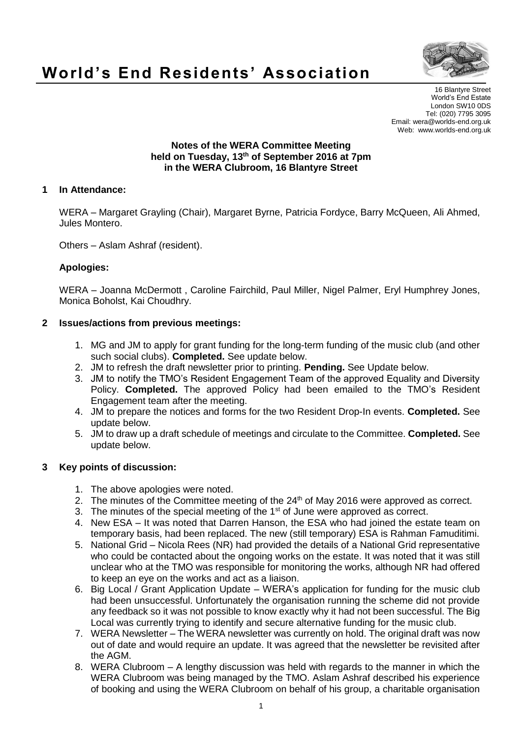

# **World's End Residents' Association**

16 Blantyre Street World's End Estate London SW10 0DS Tel: (020) 7795 3095 Email: wera@worlds-end.org.uk Web: www.worlds-end.org.uk

#### **Notes of the WERA Committee Meeting held on Tuesday, 13th of September 2016 at 7pm in the WERA Clubroom, 16 Blantyre Street**

## **1 In Attendance:**

WERA – Margaret Grayling (Chair), Margaret Byrne, Patricia Fordyce, Barry McQueen, Ali Ahmed, Jules Montero.

Others – Aslam Ashraf (resident).

## **Apologies:**

WERA – Joanna McDermott , Caroline Fairchild, Paul Miller, Nigel Palmer, Eryl Humphrey Jones, Monica Boholst, Kai Choudhry.

## **2 Issues/actions from previous meetings:**

- 1. MG and JM to apply for grant funding for the long-term funding of the music club (and other such social clubs). **Completed.** See update below.
- 2. JM to refresh the draft newsletter prior to printing. **Pending.** See Update below.
- 3. JM to notify the TMO's Resident Engagement Team of the approved Equality and Diversity Policy. **Completed.** The approved Policy had been emailed to the TMO's Resident Engagement team after the meeting.
- 4. JM to prepare the notices and forms for the two Resident Drop-In events. **Completed.** See update below.
- 5. JM to draw up a draft schedule of meetings and circulate to the Committee. **Completed.** See update below.

# **3 Key points of discussion:**

- 1. The above apologies were noted.
- 2. The minutes of the Committee meeting of the  $24<sup>th</sup>$  of May 2016 were approved as correct.
- 3. The minutes of the special meeting of the  $1<sup>st</sup>$  of June were approved as correct.
- 4. New ESA It was noted that Darren Hanson, the ESA who had joined the estate team on temporary basis, had been replaced. The new (still temporary) ESA is Rahman Famuditimi.
- 5. National Grid Nicola Rees (NR) had provided the details of a National Grid representative who could be contacted about the ongoing works on the estate. It was noted that it was still unclear who at the TMO was responsible for monitoring the works, although NR had offered to keep an eye on the works and act as a liaison.
- 6. Big Local / Grant Application Update WERA's application for funding for the music club had been unsuccessful. Unfortunately the organisation running the scheme did not provide any feedback so it was not possible to know exactly why it had not been successful. The Big Local was currently trying to identify and secure alternative funding for the music club.
- 7. WERA Newsletter The WERA newsletter was currently on hold. The original draft was now out of date and would require an update. It was agreed that the newsletter be revisited after the AGM.
- 8. WERA Clubroom A lengthy discussion was held with regards to the manner in which the WERA Clubroom was being managed by the TMO. Aslam Ashraf described his experience of booking and using the WERA Clubroom on behalf of his group, a charitable organisation